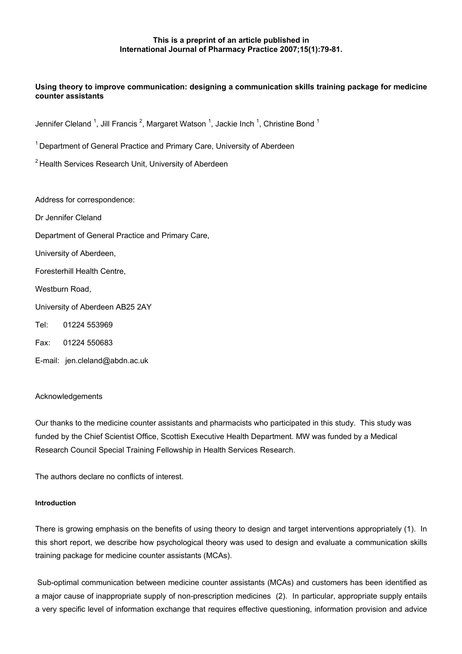# **This is a preprint of an article published in International Journal of Pharmacy Practice 2007;15(1):79-81.**

# **Using theory to improve communication: designing a communication skills training package for medicine counter assistants**

Jennifer Cleland <sup>1</sup>, Jill Francis <sup>2</sup>, Margaret Watson <sup>1</sup>, Jackie Inch <sup>1</sup>, Christine Bond <sup>1</sup>

 $1$  Department of General Practice and Primary Care, University of Aberdeen

<sup>2</sup> Health Services Research Unit, University of Aberdeen

Address for correspondence: Dr Jennifer Cleland Department of General Practice and Primary Care, University of Aberdeen, Foresterhill Health Centre, Westburn Road. University of Aberdeen AB25 2AY Tel: 01224 553969 Fax: 01224 550683

# E-mail: jen.cleland@abdn.ac.uk

## Acknowledgements

Our thanks to the medicine counter assistants and pharmacists who participated in this study. This study was funded by the Chief Scientist Office, Scottish Executive Health Department. MW was funded by a Medical Research Council Special Training Fellowship in Health Services Research.

The authors declare no conflicts of interest.

## **Introduction**

There is growing emphasis on the benefits of using theory to design and target interventions appropriately (1). In this short report, we describe how psychological theory was used to design and evaluate a communication skills training package for medicine counter assistants (MCAs).

 Sub-optimal communication between medicine counter assistants (MCAs) and customers has been identified as a major cause of inappropriate supply of non-prescription medicines (2). In particular, appropriate supply entails a very specific level of information exchange that requires effective questioning, information provision and advice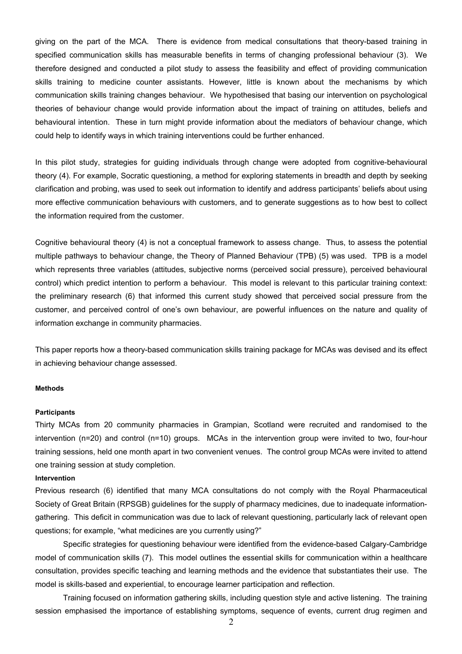giving on the part of the MCA. There is evidence from medical consultations that theory-based training in specified communication skills has measurable benefits in terms of changing professional behaviour (3). We therefore designed and conducted a pilot study to assess the feasibility and effect of providing communication skills training to medicine counter assistants. However, little is known about the mechanisms by which communication skills training changes behaviour. We hypothesised that basing our intervention on psychological theories of behaviour change would provide information about the impact of training on attitudes, beliefs and behavioural intention. These in turn might provide information about the mediators of behaviour change, which could help to identify ways in which training interventions could be further enhanced.

In this pilot study, strategies for guiding individuals through change were adopted from cognitive-behavioural theory (4). For example, Socratic questioning, a method for exploring statements in breadth and depth by seeking clarification and probing, was used to seek out information to identify and address participants' beliefs about using more effective communication behaviours with customers, and to generate suggestions as to how best to collect the information required from the customer.

Cognitive behavioural theory (4) is not a conceptual framework to assess change. Thus, to assess the potential multiple pathways to behaviour change, the Theory of Planned Behaviour (TPB) (5) was used. TPB is a model which represents three variables (attitudes, subjective norms (perceived social pressure), perceived behavioural control) which predict intention to perform a behaviour. This model is relevant to this particular training context: the preliminary research (6) that informed this current study showed that perceived social pressure from the customer, and perceived control of one's own behaviour, are powerful influences on the nature and quality of information exchange in community pharmacies.

This paper reports how a theory-based communication skills training package for MCAs was devised and its effect in achieving behaviour change assessed.

## **Methods**

#### **Participants**

Thirty MCAs from 20 community pharmacies in Grampian, Scotland were recruited and randomised to the intervention (n=20) and control (n=10) groups. MCAs in the intervention group were invited to two, four-hour training sessions, held one month apart in two convenient venues. The control group MCAs were invited to attend one training session at study completion.

#### **Intervention**

Previous research (6) identified that many MCA consultations do not comply with the Royal Pharmaceutical Society of Great Britain (RPSGB) guidelines for the supply of pharmacy medicines, due to inadequate informationgathering. This deficit in communication was due to lack of relevant questioning, particularly lack of relevant open questions; for example, "what medicines are you currently using?"

Specific strategies for questioning behaviour were identified from the evidence-based Calgary-Cambridge model of communication skills (7). This model outlines the essential skills for communication within a healthcare consultation, provides specific teaching and learning methods and the evidence that substantiates their use. The model is skills-based and experiential, to encourage learner participation and reflection.

Training focused on information gathering skills, including question style and active listening. The training session emphasised the importance of establishing symptoms, sequence of events, current drug regimen and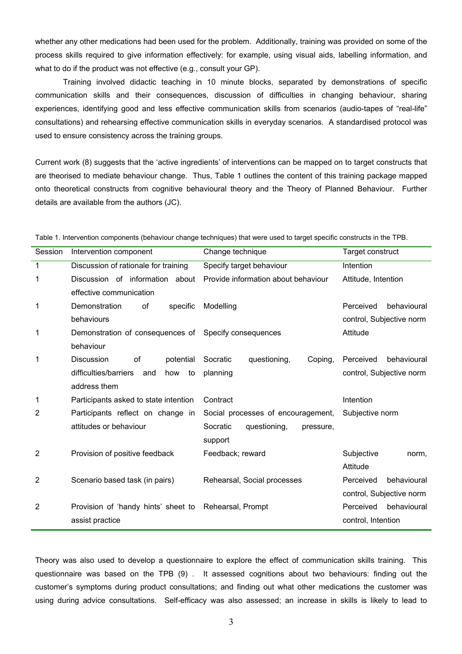whether any other medications had been used for the problem. Additionally, training was provided on some of the process skills required to give information effectively: for example, using visual aids, labelling information, and what to do if the product was not effective (e.g., consult your GP).

Training involved didactic teaching in 10 minute blocks, separated by demonstrations of specific communication skills and their consequences, discussion of difficulties in changing behaviour, sharing experiences, identifying good and less effective communication skills from scenarios (audio-tapes of "real-life" consultations) and rehearsing effective communication skills in everyday scenarios. A standardised protocol was used to ensure consistency across the training groups.

Current work (8) suggests that the 'active ingredients' of interventions can be mapped on to target constructs that are theorised to mediate behaviour change. Thus, Table 1 outlines the content of this training package mapped onto theoretical constructs from cognitive behavioural theory and the Theory of Planned Behaviour. Further details are available from the authors (JC).

| Session | Intervention component                    | Change technique                      | Target construct         |
|---------|-------------------------------------------|---------------------------------------|--------------------------|
| 1       | Discussion of rationale for training      | Specify target behaviour              | Intention                |
| 1       | Discussion of information about           | Provide information about behaviour   | Attitude, Intention      |
|         |                                           |                                       |                          |
|         | effective communication                   |                                       |                          |
| 1       | Demonstration<br>specific<br>οf           | Modelling                             | Perceived<br>behavioural |
|         | behaviours                                |                                       | control, Subjective norm |
| 1       | Demonstration of consequences of          | Specify consequences                  | Attitude                 |
|         | behaviour                                 |                                       |                          |
| 1       | <b>Discussion</b><br>of<br>potential      | questioning,<br>Socratic<br>Coping,   | behavioural<br>Perceived |
|         | difficulties/barriers<br>how<br>to<br>and | planning                              | control, Subjective norm |
|         | address them                              |                                       |                          |
| 1       | Participants asked to state intention     | Contract                              | Intention                |
| 2       | Participants reflect on change in         | Social processes of encouragement,    | Subjective norm          |
|         | attitudes or behaviour                    | Socratic<br>questioning,<br>pressure, |                          |
|         |                                           | support                               |                          |
| 2       | Provision of positive feedback            | Feedback; reward                      | Subjective<br>norm,      |
|         |                                           |                                       | Attitude                 |
| 2       | Scenario based task (in pairs)            | Rehearsal, Social processes           | Perceived<br>behavioural |
|         |                                           |                                       | control, Subjective norm |
| 2       | Provision of 'handy hints' sheet to       | Rehearsal, Prompt                     | Perceived<br>behavioural |
|         | assist practice                           |                                       | control, Intention       |

Table 1. Intervention components (behaviour change techniques) that were used to target specific constructs in the TPB.

Theory was also used to develop a questionnaire to explore the effect of communication skills training. This questionnaire was based on the TPB (9) . It assessed cognitions about two behaviours: finding out the customer's symptoms during product consultations; and finding out what other medications the customer was using during advice consultations. Self-efficacy was also assessed; an increase in skills is likely to lead to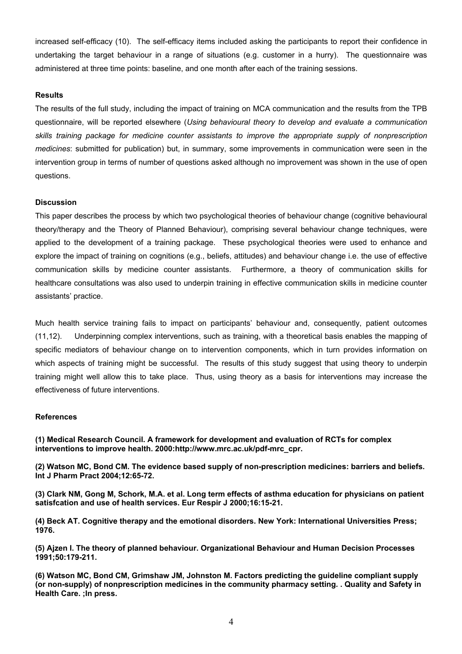increased self-efficacy (10). The self-efficacy items included asking the participants to report their confidence in undertaking the target behaviour in a range of situations (e.g. customer in a hurry). The questionnaire was administered at three time points: baseline, and one month after each of the training sessions.

# **Results**

The results of the full study, including the impact of training on MCA communication and the results from the TPB questionnaire, will be reported elsewhere (*Using behavioural theory to develop and evaluate a communication skills training package for medicine counter assistants to improve the appropriate supply of nonprescription medicines*: submitted for publication) but, in summary, some improvements in communication were seen in the intervention group in terms of number of questions asked although no improvement was shown in the use of open questions.

# **Discussion**

This paper describes the process by which two psychological theories of behaviour change (cognitive behavioural theory/therapy and the Theory of Planned Behaviour), comprising several behaviour change techniques, were applied to the development of a training package. These psychological theories were used to enhance and explore the impact of training on cognitions (e.g., beliefs, attitudes) and behaviour change i.e. the use of effective communication skills by medicine counter assistants. Furthermore, a theory of communication skills for healthcare consultations was also used to underpin training in effective communication skills in medicine counter assistants' practice.

Much health service training fails to impact on participants' behaviour and, consequently, patient outcomes (11,12). Underpinning complex interventions, such as training, with a theoretical basis enables the mapping of specific mediators of behaviour change on to intervention components, which in turn provides information on which aspects of training might be successful. The results of this study suggest that using theory to underpin training might well allow this to take place. Thus, using theory as a basis for interventions may increase the effectiveness of future interventions.

## **References**

**(1) Medical Research Council. A framework for development and evaluation of RCTs for complex interventions to improve health. 2000:http://www.mrc.ac.uk/pdf-mrc\_cpr.** 

**(2) Watson MC, Bond CM. The evidence based supply of non-prescription medicines: barriers and beliefs. Int J Pharm Pract 2004;12:65-72.** 

**(3) Clark NM, Gong M, Schork, M.A. et al. Long term effects of asthma education for physicians on patient satisfcation and use of health services. Eur Respir J 2000;16:15-21.** 

**(4) Beck AT. Cognitive therapy and the emotional disorders. New York: International Universities Press; 1976.** 

**(5) Ajzen I. The theory of planned behaviour. Organizational Behaviour and Human Decision Processes 1991;50:179-211.** 

**(6) Watson MC, Bond CM, Grimshaw JM, Johnston M. Factors predicting the guideline compliant supply (or non-supply) of nonprescription medicines in the community pharmacy setting***.* **. Quality and Safety in Health Care. ;In press.**